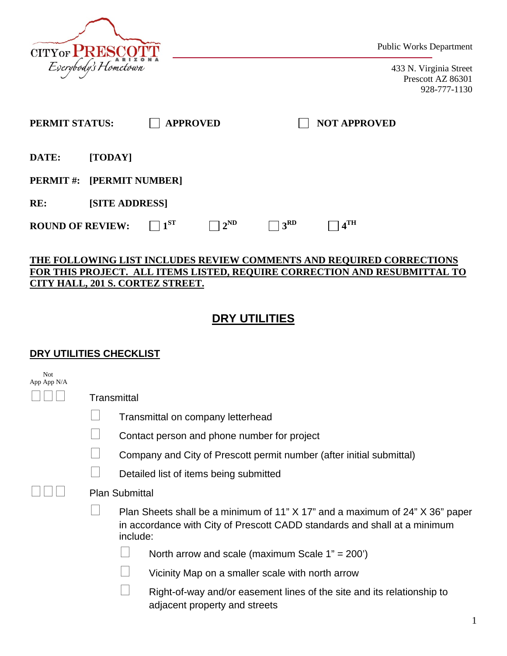

Public Works Department

433 N. Virginia Street Prescott AZ 86301 928-777-1130

| PERMIT STATUS:                   |                       |          | <b>APPROVED</b> |                 | <b>NOT APPROVED</b> |  |
|----------------------------------|-----------------------|----------|-----------------|-----------------|---------------------|--|
| DATE:                            | [TODAY]               |          |                 |                 |                     |  |
| <b>PERMIT #: [PERMIT NUMBER]</b> |                       |          |                 |                 |                     |  |
| RE:                              | <b>[SITE ADDRESS]</b> |          |                 |                 |                     |  |
| <b>ROUND OF REVIEW:</b>          |                       | $1^{ST}$ | $2^{\rm ND}$    | 3 <sup>RD</sup> | $.4$ <sup>TH</sup>  |  |

## **THE FOLLOWING LIST INCLUDES REVIEW COMMENTS AND REQUIRED CORRECTIONS FOR THIS PROJECT. ALL ITEMS LISTED, REQUIRE CORRECTION AND RESUBMITTAL TO CITY HALL, 201 S. CORTEZ STREET.**

## **DRY UTILITIES**

## **DRY UTILITIES CHECKLIST**

| <b>Not</b><br>App App N/A |                                                                                                                                                                       |  |  |  |  |
|---------------------------|-----------------------------------------------------------------------------------------------------------------------------------------------------------------------|--|--|--|--|
|                           | Transmittal                                                                                                                                                           |  |  |  |  |
|                           | Transmittal on company letterhead                                                                                                                                     |  |  |  |  |
|                           | Contact person and phone number for project                                                                                                                           |  |  |  |  |
|                           | Company and City of Prescott permit number (after initial submittal)                                                                                                  |  |  |  |  |
|                           | Detailed list of items being submitted                                                                                                                                |  |  |  |  |
|                           | <b>Plan Submittal</b>                                                                                                                                                 |  |  |  |  |
|                           | Plan Sheets shall be a minimum of 11" X 17" and a maximum of 24" X 36" paper<br>in accordance with City of Prescott CADD standards and shall at a minimum<br>include: |  |  |  |  |
|                           | North arrow and scale (maximum Scale $1" = 200'$ )                                                                                                                    |  |  |  |  |
|                           | Vicinity Map on a smaller scale with north arrow                                                                                                                      |  |  |  |  |
|                           | Right-of-way and/or easement lines of the site and its relationship to<br>adjacent property and streets                                                               |  |  |  |  |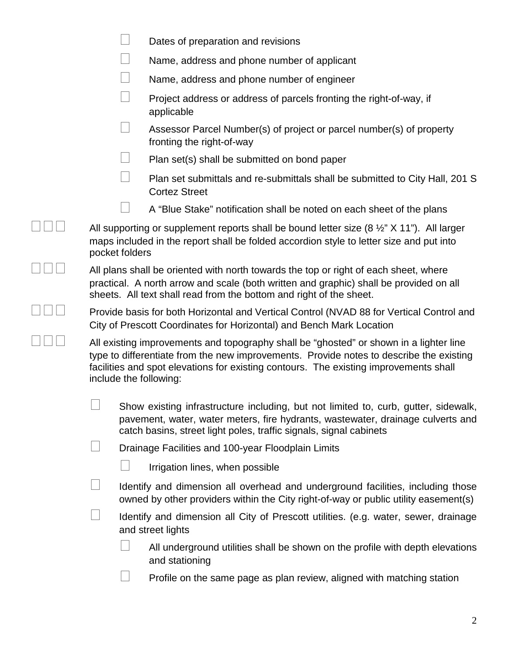|  |                                                                                                                                                                                                                                                                                                      | Dates of preparation and revisions                                                                                                                                                                                                           |  |  |
|--|------------------------------------------------------------------------------------------------------------------------------------------------------------------------------------------------------------------------------------------------------------------------------------------------------|----------------------------------------------------------------------------------------------------------------------------------------------------------------------------------------------------------------------------------------------|--|--|
|  |                                                                                                                                                                                                                                                                                                      | Name, address and phone number of applicant                                                                                                                                                                                                  |  |  |
|  |                                                                                                                                                                                                                                                                                                      | Name, address and phone number of engineer                                                                                                                                                                                                   |  |  |
|  |                                                                                                                                                                                                                                                                                                      | Project address or address of parcels fronting the right-of-way, if<br>applicable                                                                                                                                                            |  |  |
|  |                                                                                                                                                                                                                                                                                                      | Assessor Parcel Number(s) of project or parcel number(s) of property<br>fronting the right-of-way                                                                                                                                            |  |  |
|  |                                                                                                                                                                                                                                                                                                      | Plan set(s) shall be submitted on bond paper                                                                                                                                                                                                 |  |  |
|  |                                                                                                                                                                                                                                                                                                      | Plan set submittals and re-submittals shall be submitted to City Hall, 201 S<br><b>Cortez Street</b>                                                                                                                                         |  |  |
|  |                                                                                                                                                                                                                                                                                                      | A "Blue Stake" notification shall be noted on each sheet of the plans                                                                                                                                                                        |  |  |
|  | pocket folders                                                                                                                                                                                                                                                                                       | All supporting or supplement reports shall be bound letter size $(8 \frac{1}{2} \times 11 \text{ m})$ . All larger<br>maps included in the report shall be folded accordion style to letter size and put into                                |  |  |
|  | All plans shall be oriented with north towards the top or right of each sheet, where<br>practical. A north arrow and scale (both written and graphic) shall be provided on all<br>sheets. All text shall read from the bottom and right of the sheet.                                                |                                                                                                                                                                                                                                              |  |  |
|  | Provide basis for both Horizontal and Vertical Control (NVAD 88 for Vertical Control and<br>City of Prescott Coordinates for Horizontal) and Bench Mark Location                                                                                                                                     |                                                                                                                                                                                                                                              |  |  |
|  | All existing improvements and topography shall be "ghosted" or shown in a lighter line<br>type to differentiate from the new improvements. Provide notes to describe the existing<br>facilities and spot elevations for existing contours. The existing improvements shall<br>include the following: |                                                                                                                                                                                                                                              |  |  |
|  |                                                                                                                                                                                                                                                                                                      | Show existing infrastructure including, but not limited to, curb, gutter, sidewalk,<br>pavement, water, water meters, fire hydrants, wastewater, drainage culverts and<br>catch basins, street light poles, traffic signals, signal cabinets |  |  |
|  |                                                                                                                                                                                                                                                                                                      | Drainage Facilities and 100-year Floodplain Limits                                                                                                                                                                                           |  |  |
|  |                                                                                                                                                                                                                                                                                                      | Irrigation lines, when possible                                                                                                                                                                                                              |  |  |
|  |                                                                                                                                                                                                                                                                                                      | Identify and dimension all overhead and underground facilities, including those<br>owned by other providers within the City right-of-way or public utility easement(s)                                                                       |  |  |
|  |                                                                                                                                                                                                                                                                                                      | Identify and dimension all City of Prescott utilities. (e.g. water, sewer, drainage<br>and street lights                                                                                                                                     |  |  |
|  |                                                                                                                                                                                                                                                                                                      | All underground utilities shall be shown on the profile with depth elevations<br>and stationing                                                                                                                                              |  |  |
|  |                                                                                                                                                                                                                                                                                                      | Profile on the same page as plan review, aligned with matching station                                                                                                                                                                       |  |  |